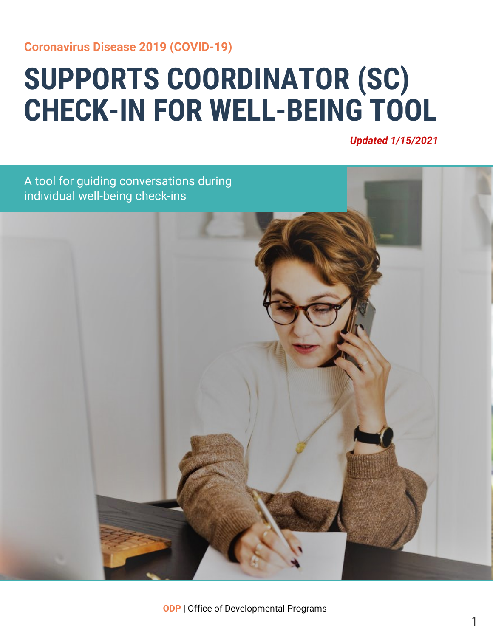#### **Coronavirus Disease 2019 (COVID-19)**

## **SUPPORTS COORDINATOR (SC) CHECK-IN FOR WELL-BEING TOOL**

*Updated 1/15/2021*

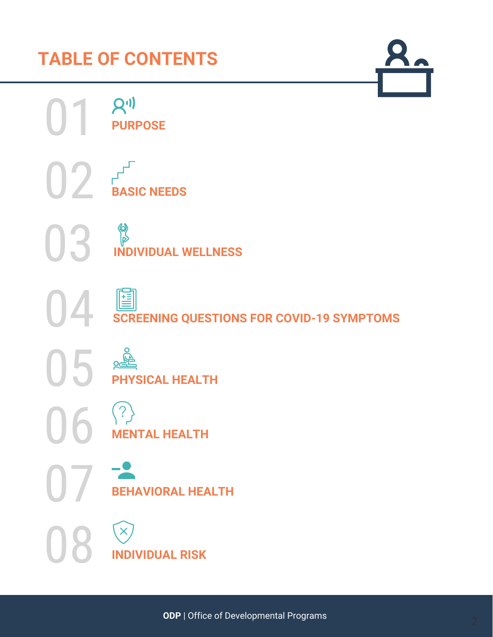## **TABLE OF CONTENTS**

**PURPOSE** 

**BASIC NEEDS**

P

02

04

05

06

07

08

 $\begin{pmatrix} 1 \end{pmatrix}$ 

**INDIVIDUAL WELLNESS**

閶

**SCREENING QUESTIONS FOR COVID-19 SYMPTOMS**

 $Q<sub>C</sub>$ **PHYSICAL HEALTH**

 $(?)$ **MENTAL HEALTH**

**BEHAVIORAL HEALTH**

 $\mathsf{X}$ **INDIVIDUAL RISK**  $\mathbf{Q}_\mathbf{C}$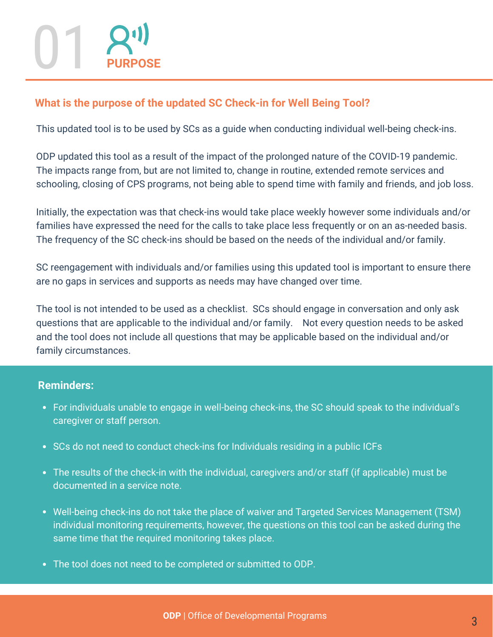# 01 **PURPOSE**

#### **What is the purpose of the updated SC Check-in for Well Being Tool?**

This updated tool is to be used by SCs as a guide when conducting individual well-being check-ins.

ODP updated this tool as a result of the impact of the prolonged nature of the COVID-19 pandemic. The impacts range from, but are not limited to, change in routine, extended remote services and schooling, closing of CPS programs, not being able to spend time with family and friends, and job loss.

Initially, the expectation was that check-ins would take place weekly however some individuals and/or families have expressed the need for the calls to take place less frequently or on an as-needed basis. The frequency of the SC check-ins should be based on the needs of the individual and/or family.

SC reengagement with individuals and/or families using this updated tool is important to ensure there are no gaps in services and supports as needs may have changed over time.

The tool is not intended to be used as a checklist. SCs should engage in conversation and only ask questions that are applicable to the individual and/or family. Not every question needs to be asked and the tool does not include all questions that may be applicable based on the individual and/or family circumstances.

#### **Reminders:**

- For individuals unable to engage in well-being check-ins, the SC should speak to the individual's caregiver or staff person.
- SCs do not need to conduct check-ins for Individuals residing in a public ICFs
- The results of the check-in with the individual, caregivers and/or staff (if applicable) must be documented in a service note.
- Well-being check-ins do not take the place of waiver and Targeted Services Management (TSM) individual monitoring requirements, however, the questions on this tool can be asked during the same time that the required monitoring takes place.
- The tool does not need to be completed or submitted to ODP.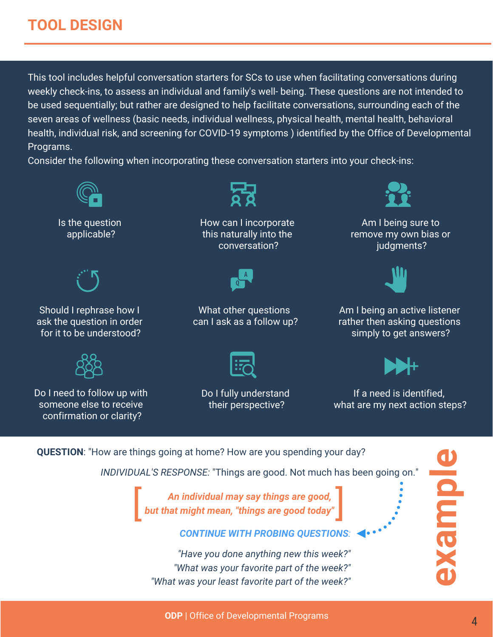### **TOOL DESIGN**

This tool includes helpful conversation starters for SCs to use when facilitating conversations during weekly check-ins, to assess an individual and family's well- being. These questions are not intended to be used sequentially; but rather are designed to help facilitate conversations, surrounding each of the seven areas of wellness (basic needs, individual wellness, physical health, mental health, behavioral health, individual risk, and screening for COVID-19 symptoms ) identified by the Office of Developmental Programs.

Consider the following when incorporating these conversation starters into your check-ins:



*"Have you done anything new this week?" "What was your favorite part of the week?" "What was your least favorite part of the week?"*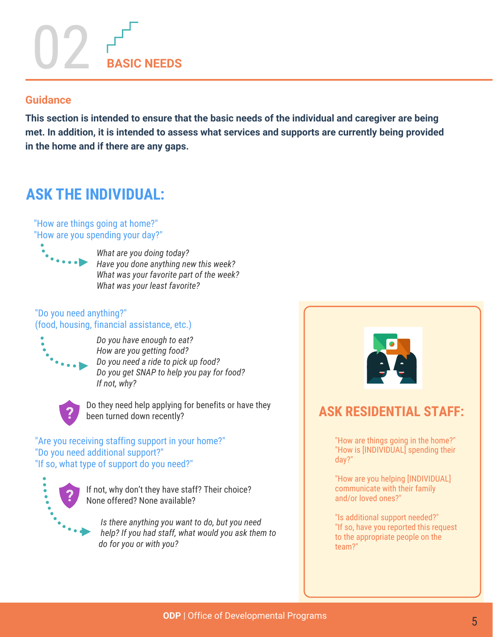# 02 **BASIC NEEDS**

#### **Guidance**

**This section is intended to ensure that the basic needs of the individual and caregiver are being met. In addition, it is intended to assess what services and supports are currently being provided in the home and if there are any gaps.**

## **ASK THE INDIVIDUAL:**

"How are things going at home?" "How are you spending your day?"



 *What are you doing today? Have you done anything new this week? What was your favorite part of the week? What was your least favorite?*

#### "Do you need anything?" (food, housing, financial assistance, etc.)



 *Do you have enough to eat? How are you getting food? Do you need a ride to pick up food? Do you get SNAP to help you pay for food? If not, why?* 



Do they need help applying for benefits or have they been turned down recently?

"Are you receiving staffing support in your home?" "Do you need additional support?" "If so, what type of support do you need?"



If not, why don't they have staff? Their choice? None offered? None available?

 *Is there anything you want to do, but you need help? If you had staff, what would you ask them to do for you or with you?*



### **ASK RESIDENTIAL STAFF:**

"How are things going in the home?" "How is [INDIVIDUAL] spending their day?"

"How are you helping [INDIVIDUAL] communicate with their family and/or loved ones?"

"Is additional support needed?" "If so, have you reported this request to the appropriate people on the team?"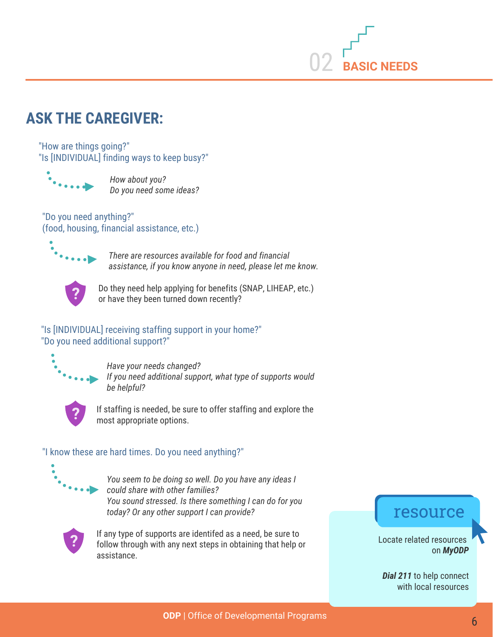

## **ASK THE CAREGIVER:**

"How are things going?" "Is [INDIVIDUAL] finding ways to keep busy?"



 *How about you? Do you need some ideas?*

"Do you need anything?" (food, housing, financial assistance, etc.)



 *There are resources available for food and financial assistance, if you know anyone in need, please let me know.* 



Do they need help applying for benefits (SNAP, LIHEAP, etc.) or have they been turned down recently?

#### "Is [INDIVIDUAL] receiving staffing support in your home?" "Do you need additional support?"



 *Have your needs changed? If you need additional support, what type of supports would be helpful?*



If staffing is needed, be sure to offer staffing and explore the most appropriate options.

#### "I know these are hard times. Do you need anything?"



 *You seem to be doing so well. Do you have any ideas I could share with other families? You sound stressed. Is there something I can do for you today? Or any other support I can provide?*



If any type of supports are identifed as a need, be sure to follow through with any next steps in obtaining that help or assistance.

#### resource

Locate related resources on *[MyODP](www.myodp.org)*

*[Dial 211](https://www.pa211.org/)* to help connect with local resources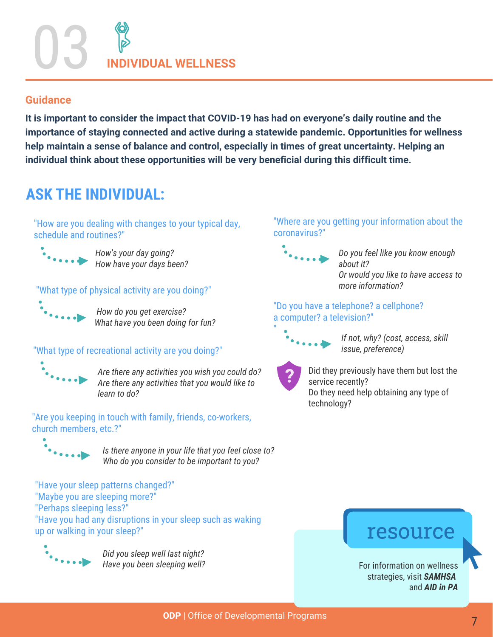03 **INDIVIDUAL WELLNESS**

#### **Guidance**

**It is important to consider the impact that COVID-19 has had on everyone's daily routine and the importance of staying connected and active during a statewide pandemic. Opportunities for wellness help maintain a sense of balance and control, especially in times of great uncertainty. Helping an individual think about these opportunities will be very beneficial during this difficult time.**

## **ASK THE INDIVIDUAL:**

"How are you dealing with changes to your typical day, schedule and routines?"



 *How's your day going? How have your days been?*

#### "What type of physical activity are you doing?"



 *How do you get exercise? What have you been doing for fun?*

#### "What type of recreational activity are you doing?"



 *Are there any activities you wish you could do? Are there any activities that you would like to learn to do?* 

"Are you keeping in touch with family, friends, co-workers, church members, etc.?"



 *Is there anyone in your life that you feel close to? Who do you consider to be important to you?*

"Have your sleep patterns changed?" "Maybe you are sleeping more?" "Perhaps sleeping less?" "Have you had any disruptions in your sleep such as waking up or walking in your sleep?"



 *Did you sleep well last night? Have you been sleeping well?*

#### "Where are you getting your information about the coronavirus?"



 *Do you feel like you know enough about it? Or would you like to have access to more information?*

#### "Do you have a telephone? a cellphone? a computer? a television?"



 *If not, why? (cost, access, skill issue, preference)*



"

Did they previously have them but lost the service recently? Do they need help obtaining any type of technology?

## resource

For information on wellness strategies, visit *[SAMHSA](https://www.integration.samhsa.gov/h)*  and *AID in PA*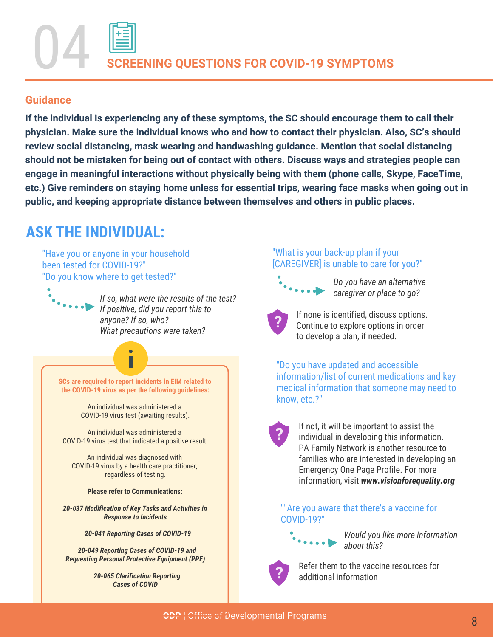## **ENING QUESTIONS FOR COVID-19 SYMPTOMS**

#### **Guidance**

**If the individual is experiencing any of these symptoms, the SC should encourage them to call their physician. Make sure the individual knows who and how to contact their physician. Also, SC's should review social distancing, mask wearing and handwashing guidance. Mention that social distancing should not be mistaken for being out of contact with others. Discuss ways and strategies people can engage in meaningful interactions without physically being with them (phone calls, Skype, FaceTime, etc.) Give reminders on staying home unless for essential trips, wearing face masks when going out in public, and keeping appropriate distance between themselves and others in public places.**

## **ASK THE INDIVIDUAL:**

"Have you or anyone in your household been tested for COVID-19?" "Do you know where to get tested?" *Do you have an alternative* 

> *If so, what were the results of the test? If positive, did you report this to anyone? If so, who? What precautions were taken?*

**SCs are required to report incidents in EIM related to the COVID-19 virus as per the following guidelines:**

> An individual was administered a COVID-19 virus test (awaiting results).

An individual was administered a COVID-19 virus test that indicated a positive result.

An individual was diagnosed with COVID-19 virus by a health care practitioner, regardless of testing.

**Please refer to Communications:** 

*20-0[37 Modification of Key Tasks and Activities in](https://www.myodp.org/mod/data/view.php?d=18&perpage=100&search=20-37&sort=415&order=DESC&advanced=0&filter=1&advanced=1&f_420=&f_415_d=15&f_415_m=1&f_415_y=2021&f_417=&f_423=20-037&f_421=&f_418=) Response to Incidents*

*[20-041 Reporting Cases of COVID-19](https://www.myodp.org/mod/data/view.php?d=18&perpage=100&search=20-037&sort=415&order=DESC&advanced=0&filter=1&advanced=1&f_420=&f_415_d=15&f_415_m=1&f_415_y=2021&f_417=&f_423=20-041&f_421=&f_418=)*

*20-049 Reporting Cases of COVID-19 and [Requesting Personal Protective Equipment \(PPE\)](https://www.myodp.org/mod/data/view.php?d=18&perpage=100&search=20-041&sort=415&order=DESC&advanced=0&filter=1&advanced=1&f_420=&f_415_d=15&f_415_m=1&f_415_y=2021&f_417=&f_423=20-049&f_421=&f_418=)*

> *[20-065 Clarification Reporting](https://www.myodp.org/mod/data/view.php?d=18&perpage=100&search=20-049&sort=415&order=DESC&advanced=0&filter=1&advanced=1&f_420=&f_415_d=15&f_415_m=1&f_415_y=2021&f_417=&f_423=20-065&f_421=&f_418=) Cases of COVID*

#### "What is your back-up plan if your [CAREGIVER] is unable to care for you?"



*caregiver or place to go?*



"Do you have updated and accessible information/list of current medications and key medical information that someone may need to know, etc.?"



If not, it will be important to assist the individual in developing this information. PA Family Network is another resource to families who are interested in developing an Emergency One Page Profile. For more information, visit *[www.visionforequality.org](https://www.visionforequality.org/)*

""Are you aware that there's a vaccine for COVID-19?"

*Would you like more information about this?*



Refer them to the vaccine resources for additional information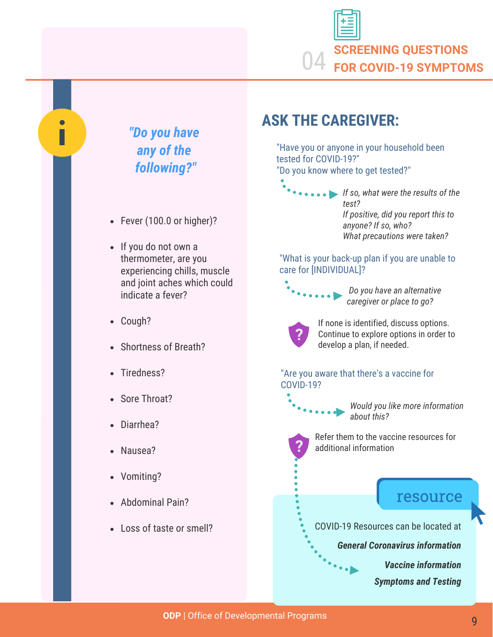



П

*[Vaccine information](https://www.health.pa.gov/topics/disease/coronavirus/Pages/Vaccine.aspx)*

*[Symptoms and Testing](https://www.health.pa.gov/topics/disease/coronavirus/Pages/Symptoms-Testing.aspx)*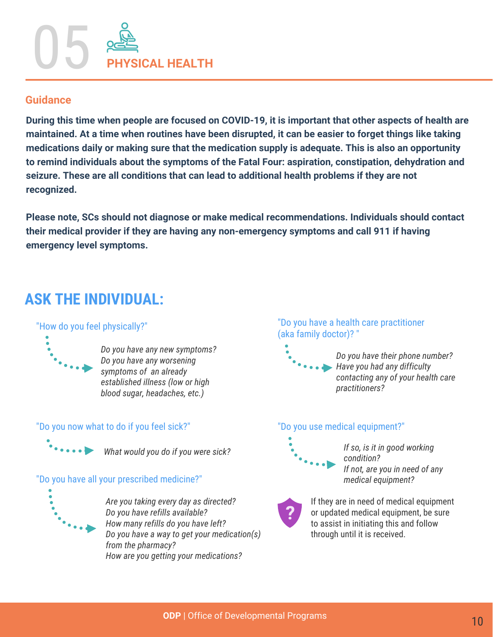

#### **Guidance**

**During this time when people are focused on COVID-19, it is important that other aspects of health are maintained. At a time when routines have been disrupted, it can be easier to forget things like taking medications daily or making sure that the medication supply is adequate. This is also an opportunity to remind individuals about the symptoms of the Fatal Four: aspiration, constipation, dehydration and seizure. These are all conditions that can lead to additional health problems if they are not recognized.**

**Please note, SCs should not diagnose or make medical recommendations. Individuals should contact their medical provider if they are having any non-emergency symptoms and call 911 if having emergency level symptoms.**

## **ASK THE INDIVIDUAL:**

#### "How do you feel physically?"



 *Do you have any new symptoms? Do you have any worsening symptoms of an already established illness (low or high blood sugar, headaches, etc.)*

#### "Do you now what to do if you feel sick?"



 *What would you do if you were sick?*

#### "Do you have all your prescribed medicine?"



 *Are you taking every day as directed? Do you have refills available? How many refills do you have left? Do you have a way to get your medication(s) from the pharmacy? How are you getting your medications?*

#### "Do you have a health care practitioner (aka family doctor)? "

 *Do you have their phone number? Have you had any difficulty contacting any of your health care practitioners?*

#### "Do you use medical equipment?"



 *If so, is it in good working condition? If not, are you in need of any medical equipment?*



If they are in need of medical equipment or updated medical equipment, be sure to assist in initiating this and follow through until it is received.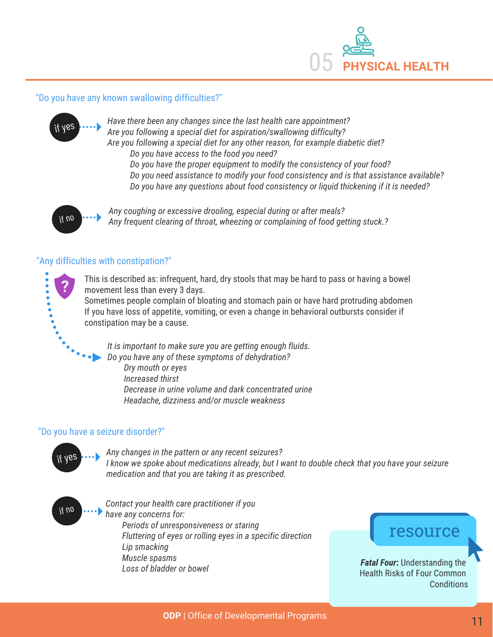

#### "Do you have any known swallowing difficulties?"



*Have there been any changes since the last health care appointment? Are you following a special diet for aspiration/swallowing difficulty? Are you following a special diet for any other reason, for example diabetic diet? Do you have access to the food you need?*

 *Do you have the proper equipment to modify the consistency of your food? Do you need assistance to modify your food consistency and is that assistance available? Do you have any questions about food consistency or liquid thickening if it is needed?*



Any coughing or excessive drooling, especial during or after meals?<br>Any frequent clearing of throat wheezing or complaining of food get *Any frequent clearing of throat, wheezing or complaining of food getting stuck.?*

#### "Any difficulties with constipation?"



This is described as: infrequent, hard, dry stools that may be hard to pass or having a bowel movement less than every 3 days.

Sometimes people complain of bloating and stomach pain or have hard protruding abdomen If you have loss of appetite, vomiting, or even a change in behavioral outbursts consider if constipation may be a cause.

*It is important to make sure you are getting enough fluids. Do you have any of these symptoms of dehydration? Dry mouth or eyes Increased thirst Decrease in urine volume and dark concentrated urine Headache, dizziness and/or muscle weakness*

#### "Do you have a seizure disorder?"



Any changes in the pattern or any recent seizures? *I know we spoke about medications already, but I want to double check that you have your seizure medication and that you are taking it as prescribed.*



if no *Contact your health care practitioner if you have any concerns for: Periods of unresponsiveness or staring Fluttering of eyes or rolling eyes in a specific direction Lip smacking Muscle spasms Loss of bladder or bowel*

## resource

*Fatal Four*: Understanding the [Health Risks of Four Common](https://www.myodp.org/course/vie)  **Conditions**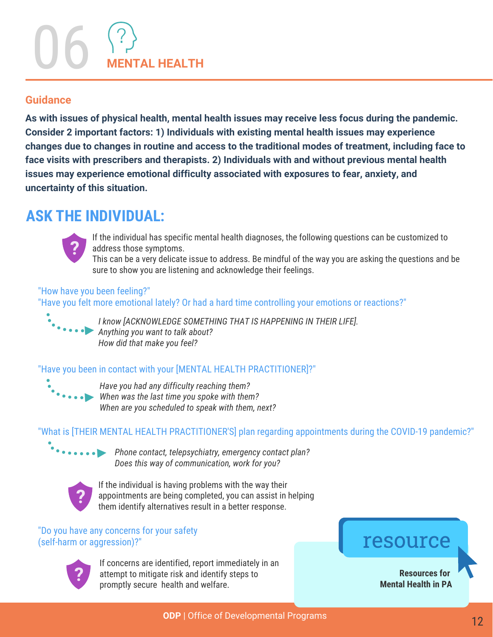# 06 **MENTAL HEALTH**

#### **Guidance**

**As with issues of physical health, mental health issues may receive less focus during the pandemic. Consider 2 important factors: 1) Individuals with existing mental health issues may experience changes due to changes in routine and access to the traditional modes of treatment, including face to face visits with prescribers and therapists. 2) Individuals with and without previous mental health issues may experience emotional difficulty associated with exposures to fear, anxiety, and uncertainty of this situation.**

### **ASK THE INDIVIDUAL:**



If the individual has specific mental health diagnoses, the following questions can be customized to address those symptoms.

This can be a very delicate issue to address. Be mindful of the way you are asking the questions and be sure to show you are listening and acknowledge their feelings.

"How have you been feeling?" "Have you felt more emotional lately? Or had a hard time controlling your emotions or reactions?"



*I know [ACKNOWLEDGE SOMETHING THAT IS HAPPENING IN THEIR LIFE]. Anything you want to talk about? How did that make you feel?*

#### "Have you been in contact with your [MENTAL HEALTH PRACTITIONER]?"



*Have you had any difficulty reaching them? When was the last time you spoke with them? When are you scheduled to speak with them, next?*

#### "What is [THEIR MENTAL HEALTH PRACTITIONER'S] plan regarding appointments during the COVID-19 pandemic?"



 *Phone contact, telepsychiatry, emergency contact plan? Does this way of communication, work for you?*



If the individual is having problems with the way their appointments are being completed, you can assist in helping them identify alternatives result in a better response.

"Do you have any concerns for your safety (self-harm or aggression)?"



If concerns are identified, report immediately in an attempt to mitigate risk and identify steps to promptly secure health and welfare.

## resource

**Resources for [Mental Health in PA](https://www.dhs.pa.gov/Services/Ment)**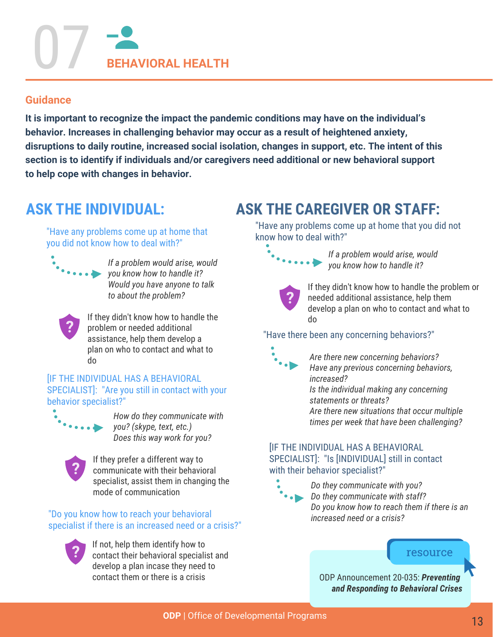## 07 **BEHAVIORAL HEALTH**

#### **Guidance**

**It is important to recognize the impact the pandemic conditions may have on the individual's behavior. Increases in challenging behavior may occur as a result of heightened anxiety, disruptions to daily routine, increased social isolation, changes in support, etc. The intent of this section is to identify if individuals and/or caregivers need additional or new behavioral support to help cope with changes in behavior.**

## **ASK THE INDIVIDUAL:**

"Have any problems come up at home that you did not know how to deal with?"



 *If a problem would arise, would you know how to handle it? Would you have anyone to talk to about the problem?*



If they didn't know how to handle the problem or needed additional assistance, help them develop a plan on who to contact and what to do

**IF THE INDIVIDUAL HAS A BEHAVIORAL** SPECIALIST]: "Are you still in contact with your behavior specialist?"



 *How do they communicate with you? (skype, text, etc.) Does this way work for you?*



If they prefer a different way to communicate with their behavioral specialist, assist them in changing the mode of communication

"Do you know how to reach your behavioral specialist if there is an increased need or a crisis?"



If not, help them identify how to contact their behavioral specialist and develop a plan incase they need to contact them or there is a crisis

## **ASK THE CAREGIVER OR STAFF:**

"Have any problems come up at home that you did not know how to deal with?"



 *If a problem would arise, would you know how to handle it?*



If they didn't know how to handle the problem or needed additional assistance, help them develop a plan on who to contact and what to do

#### "Have there been any concerning behaviors?"



*Are there new concerning behaviors? Have any previous concerning behaviors, increased? Is the individual making any concerning statements or threats? Are there new situations that occur multiple times per week that have been challenging?* 

#### **IIF THE INDIVIDUAL HAS A BEHAVIORAL** SPECIALIST]: "Is [INDIVIDUAL] still in contact with their behavior specialist?"



*Do they communicate with you? Do they communicate with staff? Do you know how to reach them if there is an increased need or a crisis?*

#### resource

ODP Announcement 20-035: *Preventing [and Responding to Behavioral Crises](https://www.myodp.org/mod/data/view.php?d=18&perpage=100&search=20-065&sort=415&order=DESC&advanced=0&filter=1&advanced=1&f_420=&f_415_d=15&f_415_m=1&f_415_y=2021&f_417=&f_423=20-035&f_421=&f_418=)*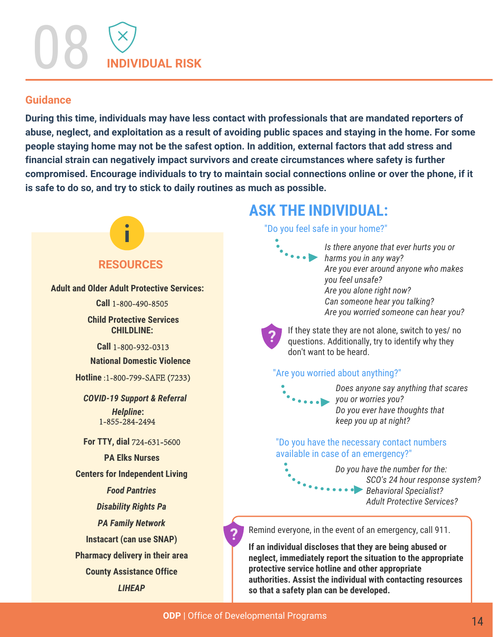#### **Guidance**

**During this time, individuals may have less contact with professionals that are mandated reporters of abuse, neglect, and exploitation as a result of avoiding public spaces and staying in the home. For some people staying home may not be the safest option. In addition, external factors that add stress and financial strain can negatively impact survivors and create circumstances where safety is further compromised. Encourage individuals to try to maintain social connections online or over the phone, if it is safe to do so, and try to stick to daily routines as much as possible.**